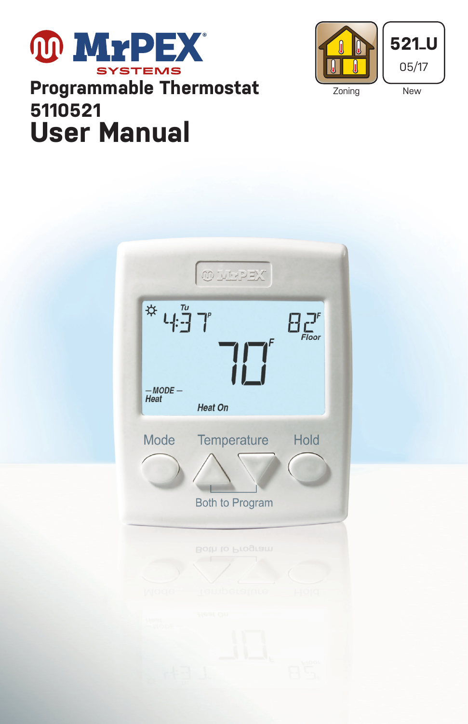# **MYPEX** STEMS **Programmable Thermostat 5110521 User Manual**



 $\stackrel{\textstyle\leftrightarrow}{\sim} L^{\frac{n}{2}}\stackrel{\textstyle n}{\rightarrow} T^{\prime}$  $\mathcal{L}^{\mathcal{F}}_{\mathit{Floor}}$  $-MODE -$ Heat Heat On Temperature Mode Hold **Both to Program**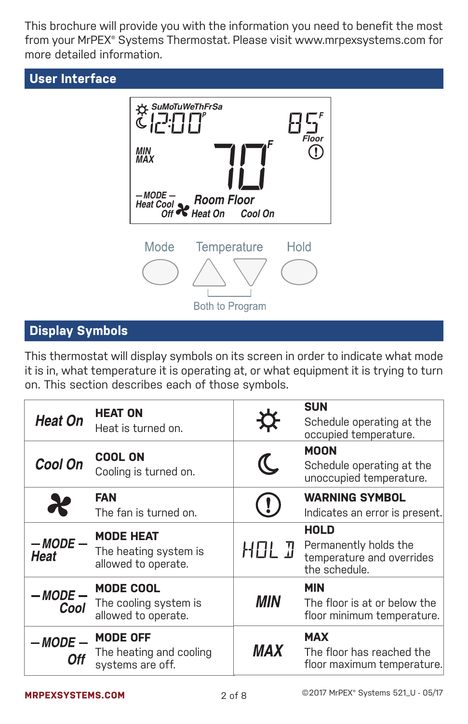This brochure will provide you with the information you need to benefit the most from your MrPEX® Systems Thermostat. Please visit www.mrpexsystems.com for more detailed information.





# **Display Symbols**

This thermostat will display symbols on its screen in order to indicate what mode it is in, what temperature it is operating at, or what equipment it is trying to turn on. This section describes each of those symbols.

| <b>Heat On</b>          | <b>HEAT ON</b><br>Heat is turned on.                             | $\boldsymbol{\alpha}$                                      | <b>SUN</b><br>Schedule operating at the<br>occupied temperature.                   |
|-------------------------|------------------------------------------------------------------|------------------------------------------------------------|------------------------------------------------------------------------------------|
| Cool On                 | <b>COOL ON</b><br>Cooling is turned on.                          | $\mathcal{C}% _{M_{1},M_{2}}^{\alpha,\beta}(-\varepsilon)$ | <b>MOON</b><br>Schedule operating at the<br>unoccupied temperature.                |
| Ж                       | <b>FAN</b><br>The fan is turned on.                              |                                                            | <b>WARNING SYMBOL</b><br>Indicates an error is present.                            |
| $-MODE-$<br><b>Heat</b> | <b>MODE HEAT</b><br>The heating system is<br>allowed to operate. | <b>HOL J</b>                                               | <b>HOLD</b><br>Permanently holds the<br>temperature and overrides<br>the schedule. |
| - MODE<br>Cool          | <b>MODE COOL</b><br>The cooling system is<br>allowed to operate. | MIN                                                        | <b>MIN</b><br>The floor is at or below the<br>floor minimum temperature.           |
| $-MODE$                 | <b>MODE OFF</b><br>The heating and cooling<br>systems are off.   | <i><b>MAX</b></i>                                          | <b>MAX</b><br>The floor has reached the<br>floor maximum temperature.              |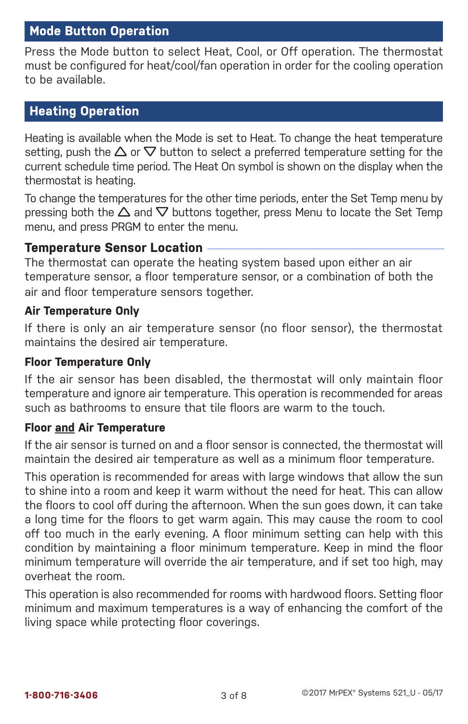## **Mode Button Operation**

Press the Mode button to select Heat, Cool, or Off operation. The thermostat must be configured for heat/cool/fan operation in order for the cooling operation to be available.

# **Heating Operation**

Heating is available when the Mode is set to Heat. To change the heat temperature setting, push the  $\Delta$  or  $\nabla$  button to select a preferred temperature setting for the current schedule time period. The Heat On symbol is shown on the display when the thermostat is heating.

To change the temperatures for the other time periods, enter the Set Temp menu by pressing both the  $\Delta$  and  $\nabla$  buttons together, press Menu to locate the Set Temp menu, and press PRGM to enter the menu.

## **Temperature Sensor Location -**

The thermostat can operate the heating system based upon either an air temperature sensor, a floor temperature sensor, or a combination of both the air and floor temperature sensors together.

## **Air Temperature Only**

If there is only an air temperature sensor (no floor sensor), the thermostat maintains the desired air temperature.

#### **Floor Temperature Only**

If the air sensor has been disabled, the thermostat will only maintain floor temperature and ignore air temperature. This operation is recommended for areas such as bathrooms to ensure that tile floors are warm to the touch.

#### **Floor and Air Temperature**

If the air sensor is turned on and a floor sensor is connected, the thermostat will maintain the desired air temperature as well as a minimum floor temperature.

This operation is recommended for areas with large windows that allow the sun to shine into a room and keep it warm without the need for heat. This can allow the floors to cool off during the afternoon. When the sun goes down, it can take a long time for the floors to get warm again. This may cause the room to cool off too much in the early evening. A floor minimum setting can help with this condition by maintaining a floor minimum temperature. Keep in mind the floor minimum temperature will override the air temperature, and if set too high, may overheat the room.

This operation is also recommended for rooms with hardwood floors. Setting floor minimum and maximum temperatures is a way of enhancing the comfort of the living space while protecting floor coverings.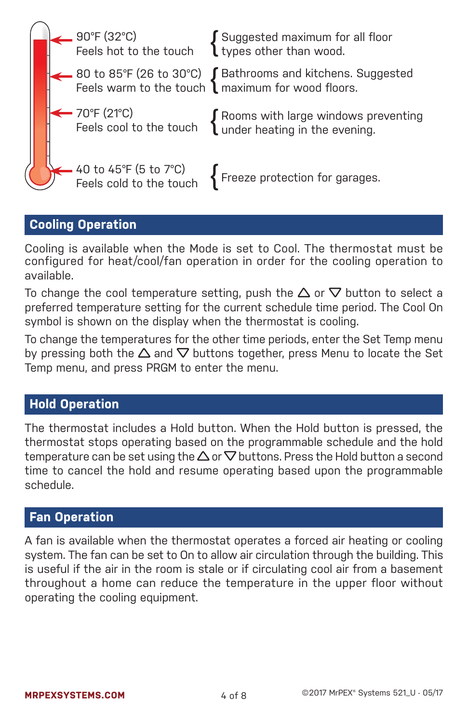

## **Cooling Operation**

Cooling is available when the Mode is set to Cool. The thermostat must be configured for heat/cool/fan operation in order for the cooling operation to available.

To change the cool temperature setting, push the  $\Delta$  or  $\nabla$  button to select a preferred temperature setting for the current schedule time period. The Cool On symbol is shown on the display when the thermostat is cooling.

To change the temperatures for the other time periods, enter the Set Temp menu by pressing both the  $\Delta$  and  $\nabla$  buttons together, press Menu to locate the Set Temp menu, and press PRGM to enter the menu.

# **Hold Operation**

The thermostat includes a Hold button. When the Hold button is pressed, the thermostat stops operating based on the programmable schedule and the hold temperature can be set using the  $\Delta$  or  $\nabla$  buttons. Press the Hold button a second time to cancel the hold and resume operating based upon the programmable schedule.

# **Fan Operation**

A fan is available when the thermostat operates a forced air heating or cooling system. The fan can be set to On to allow air circulation through the building. This is useful if the air in the room is stale or if circulating cool air from a basement throughout a home can reduce the temperature in the upper floor without operating the cooling equipment.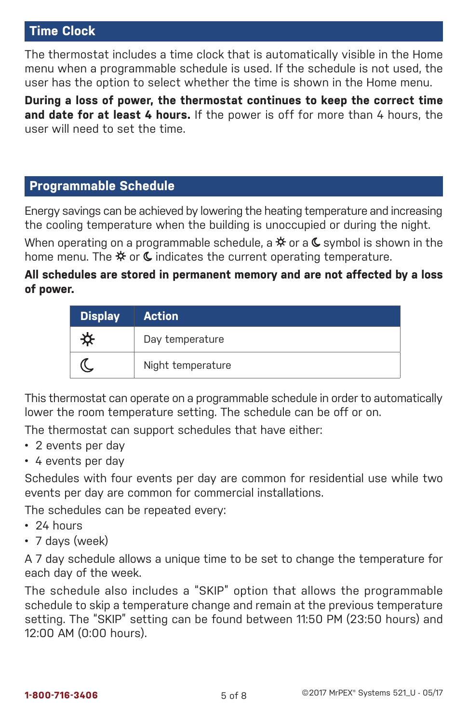## **Time Clock**

The thermostat includes a time clock that is automatically visible in the Home menu when a programmable schedule is used. If the schedule is not used, the user has the option to select whether the time is shown in the Home menu.

**During a loss of power, the thermostat continues to keep the correct time and date for at least 4 hours.** If the power is off for more than 4 hours, the user will need to set the time.

## **Programmable Schedule**

Energy savings can be achieved by lowering the heating temperature and increasing the cooling temperature when the building is unoccupied or during the night.

When operating on a programmable schedule, a  $*$  or a  $\mathsf{\mathfrak{C}}$  symbol is shown in the home menu. The  $*$  or  $\mathsf{\mathfrak{C}}$  indicates the current operating temperature.

## **All schedules are stored in permanent memory and are not affected by a loss of power.**

| <b>Display</b> | <b>Action</b>     |
|----------------|-------------------|
|                | Day temperature   |
|                | Night temperature |

This thermostat can operate on a programmable schedule in order to automatically lower the room temperature setting. The schedule can be off or on.

The thermostat can support schedules that have either:

- • 2 events per day
- • 4 events per day

Schedules with four events per day are common for residential use while two events per day are common for commercial installations.

The schedules can be repeated every:

- 24 hours
- 7 days (week)

A 7 day schedule allows a unique time to be set to change the temperature for each day of the week.

The schedule also includes a "SKIP" option that allows the programmable schedule to skip a temperature change and remain at the previous temperature setting. The "SKIP" setting can be found between 11:50 PM (23:50 hours) and 12:00 AM (0:00 hours).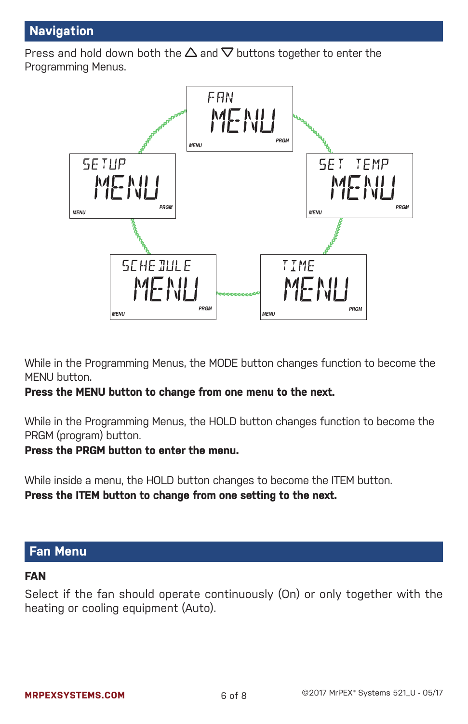# **Navigation**

Press and hold down both the  $\Delta$  and  $\nabla$  buttons together to enter the Programming Menus.



While in the Programming Menus, the MODE button changes function to become the MENU button.

#### **Press the MENU button to change from one menu to the next.**

While in the Programming Menus, the HOLD button changes function to become the PRGM (program) button.

#### **Press the PRGM button to enter the menu.**

While inside a menu, the HOLD button changes to become the ITEM button. **Press the ITEM button to change from one setting to the next.**

## **Fan Menu**

## **Fan**

Select if the fan should operate continuously (On) or only together with the heating or cooling equipment (Auto).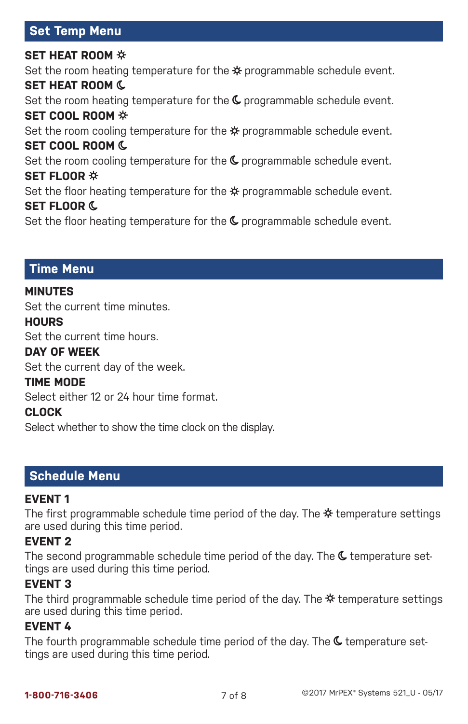# **Set Temp Menu**

## **Set Heat Room** Set the room heating temperature for the  $\mathcal{\ast}$  programmable schedule event. **Set Heat Room** Set the room heating temperature for the  $\mathsf{\mathfrak{C}}$  programmable schedule event. **Set Cool Room** Set the room cooling temperature for the  $*$  programmable schedule event. **Set Cool Room** Set the room cooling temperature for the  $\mathsf{\mathfrak{C}}$  programmable schedule event. **Set Floor**  Set the floor heating temperature for the  $*$  programmable schedule event. **Set Floor**

Set the floor heating temperature for the  $\mathsf{\mathfrak{C}}$  programmable schedule event.

## **Time Menu**

#### **MinuteS**

Set the current time minutes.

#### **Hours**

Set the current time hours.

#### **Day of Week**

Set the current day of the week.

#### **Time Mode**

Select either 12 or 24 hour time format.

#### **Clock**

Select whether to show the time clock on the display.

## **Schedule Menu**

#### **Event 1**

The first programmable schedule time period of the day. The  $*$  temperature settings are used during this time period.

## **Event 2**

The second programmable schedule time period of the day. The  $\mathsf C$  temperature settings are used during this time period.

#### **Event 3**

The third programmable schedule time period of the day. The  $\ddot{x}$  temperature settings are used during this time period.

#### **Event 4**

The fourth programmable schedule time period of the day. The  $\mathsf{\mathfrak{C}}$  temperature settings are used during this time period.